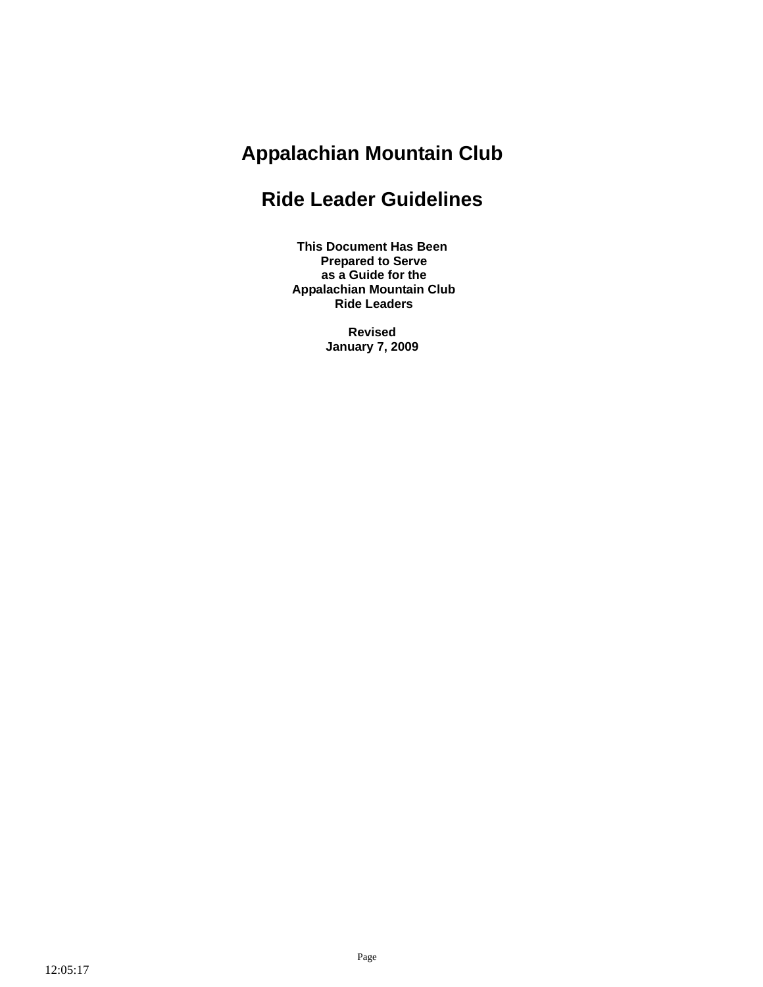# **Appalachian Mountain Club**

# **Ride Leader Guidelines**

**This Document Has Been Prepared to Serve as a Guide for the Appalachian Mountain Club Ride Leaders** 

> **Revised January 7, 2009**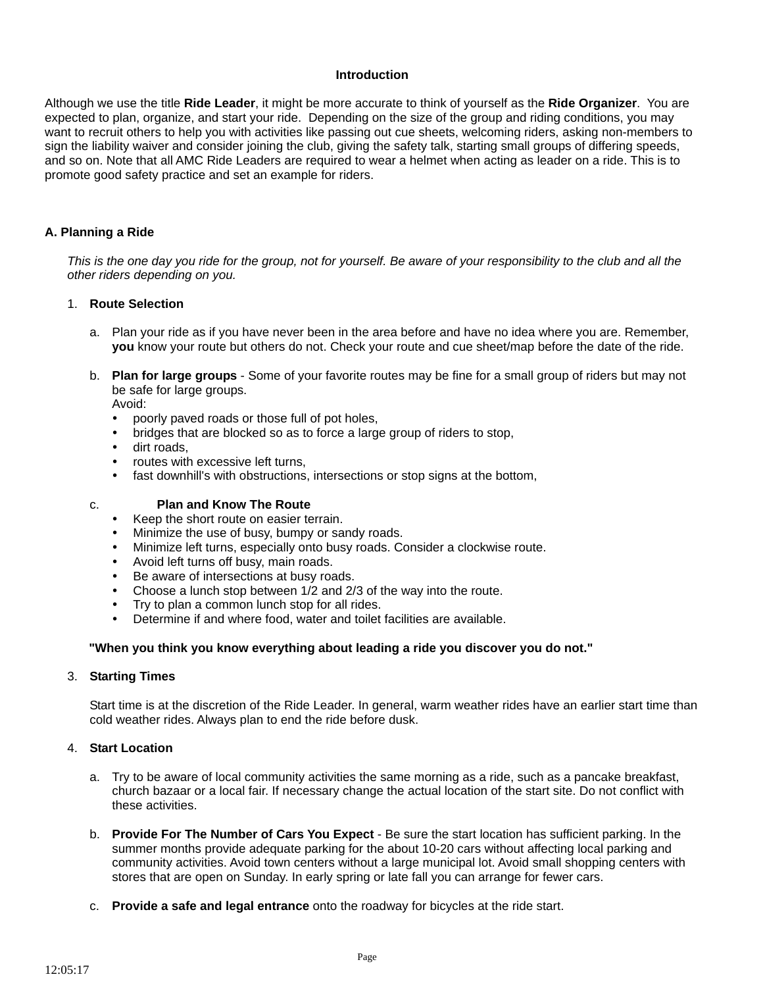#### **Introduction**

Although we use the title **Ride Leader**, it might be more accurate to think of yourself as the **Ride Organizer**. You are expected to plan, organize, and start your ride. Depending on the size of the group and riding conditions, you may want to recruit others to help you with activities like passing out cue sheets, welcoming riders, asking non-members to sign the liability waiver and consider joining the club, giving the safety talk, starting small groups of differing speeds, and so on. Note that all AMC Ride Leaders are required to wear a helmet when acting as leader on a ride. This is to promote good safety practice and set an example for riders.

#### **A. Planning a Ride**

This is the one day you ride for the group, not for yourself. Be aware of your responsibility to the club and all the *other riders depending on you.*

#### 1. **Route Selection**

- a. Plan your ride as if you have never been in the area before and have no idea where you are. Remember, **you** know your route but others do not. Check your route and cue sheet/map before the date of the ride.
- b. **Plan for large groups** Some of your favorite routes may be fine for a small group of riders but may not be safe for large groups.

Avoid:

- poorly paved roads or those full of pot holes,
- bridges that are blocked so as to force a large group of riders to stop,
- dirt roads.
- routes with excessive left turns.
- fast downhill's with obstructions, intersections or stop signs at the bottom,
- c. **Plan and Know The Route**
	- Keep the short route on easier terrain.
	- Minimize the use of busy, bumpy or sandy roads.
	- Minimize left turns, especially onto busy roads. Consider a clockwise route.
	- Avoid left turns off busy, main roads.
	- Be aware of intersections at busy roads.
	- Choose a lunch stop between 1/2 and 2/3 of the way into the route.
	- Try to plan a common lunch stop for all rides.
	- Determine if and where food, water and toilet facilities are available.

#### **"When you think you know everything about leading a ride you discover you do not."**

#### 3. **Starting Times**

Start time is at the discretion of the Ride Leader. In general, warm weather rides have an earlier start time than cold weather rides. Always plan to end the ride before dusk.

#### 4. **Start Location**

- a. Try to be aware of local community activities the same morning as a ride, such as a pancake breakfast, church bazaar or a local fair. If necessary change the actual location of the start site. Do not conflict with these activities.
- b. **Provide For The Number of Cars You Expect** Be sure the start location has sufficient parking. In the summer months provide adequate parking for the about 10-20 cars without affecting local parking and community activities. Avoid town centers without a large municipal lot. Avoid small shopping centers with stores that are open on Sunday. In early spring or late fall you can arrange for fewer cars.
- c. **Provide a safe and legal entrance** onto the roadway for bicycles at the ride start.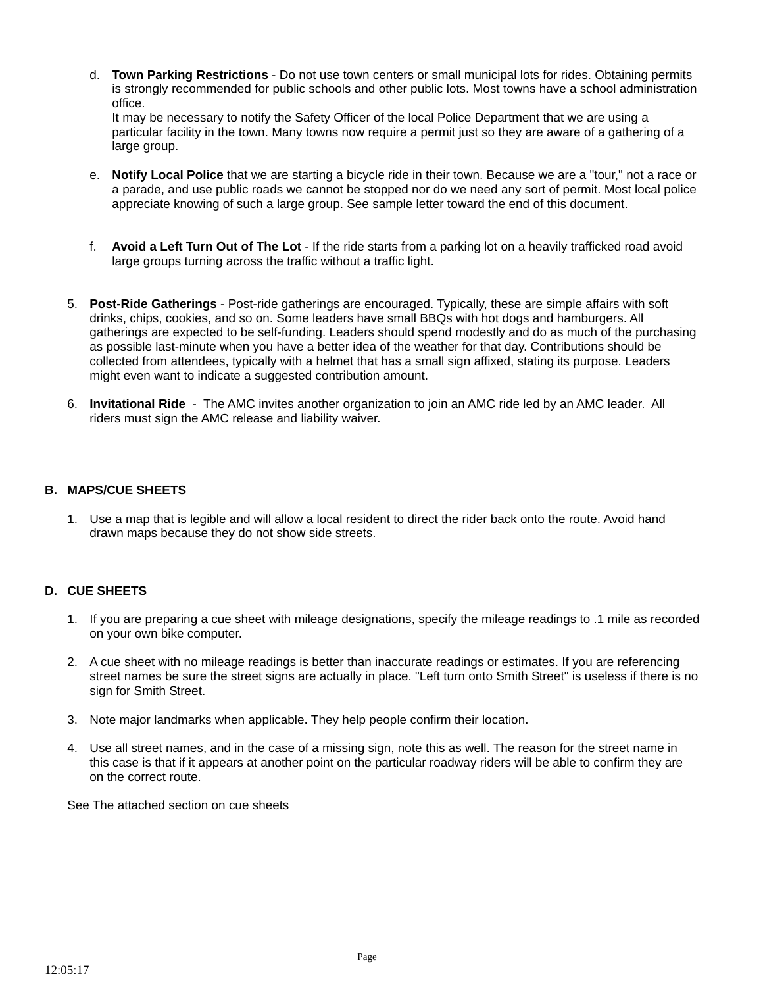d. **Town Parking Restrictions** - Do not use town centers or small municipal lots for rides. Obtaining permits is strongly recommended for public schools and other public lots. Most towns have a school administration office.

It may be necessary to notify the Safety Officer of the local Police Department that we are using a particular facility in the town. Many towns now require a permit just so they are aware of a gathering of a large group.

- e. **Notify Local Police** that we are starting a bicycle ride in their town. Because we are a "tour," not a race or a parade, and use public roads we cannot be stopped nor do we need any sort of permit. Most local police appreciate knowing of such a large group. See sample letter toward the end of this document.
- f. **Avoid a Left Turn Out of The Lot** If the ride starts from a parking lot on a heavily trafficked road avoid large groups turning across the traffic without a traffic light.
- 5. **Post-Ride Gatherings**  Post-ride gatherings are encouraged. Typically, these are simple affairs with soft drinks, chips, cookies, and so on. Some leaders have small BBQs with hot dogs and hamburgers. All gatherings are expected to be self-funding. Leaders should spend modestly and do as much of the purchasing as possible last-minute when you have a better idea of the weather for that day. Contributions should be collected from attendees, typically with a helmet that has a small sign affixed, stating its purpose. Leaders might even want to indicate a suggested contribution amount.
- 6. **Invitational Ride**  The AMC invites another organization to join an AMC ride led by an AMC leader. All riders must sign the AMC release and liability waiver.

## **B. MAPS/CUE SHEETS**

1. Use a map that is legible and will allow a local resident to direct the rider back onto the route. Avoid hand drawn maps because they do not show side streets.

## **D. CUE SHEETS**

- 1. If you are preparing a cue sheet with mileage designations, specify the mileage readings to .1 mile as recorded on your own bike computer.
- 2. A cue sheet with no mileage readings is better than inaccurate readings or estimates. If you are referencing street names be sure the street signs are actually in place. "Left turn onto Smith Street" is useless if there is no sign for Smith Street.
- 3. Note major landmarks when applicable. They help people confirm their location.
- 4. Use all street names, and in the case of a missing sign, note this as well. The reason for the street name in this case is that if it appears at another point on the particular roadway riders will be able to confirm they are on the correct route.

See The attached section on cue sheets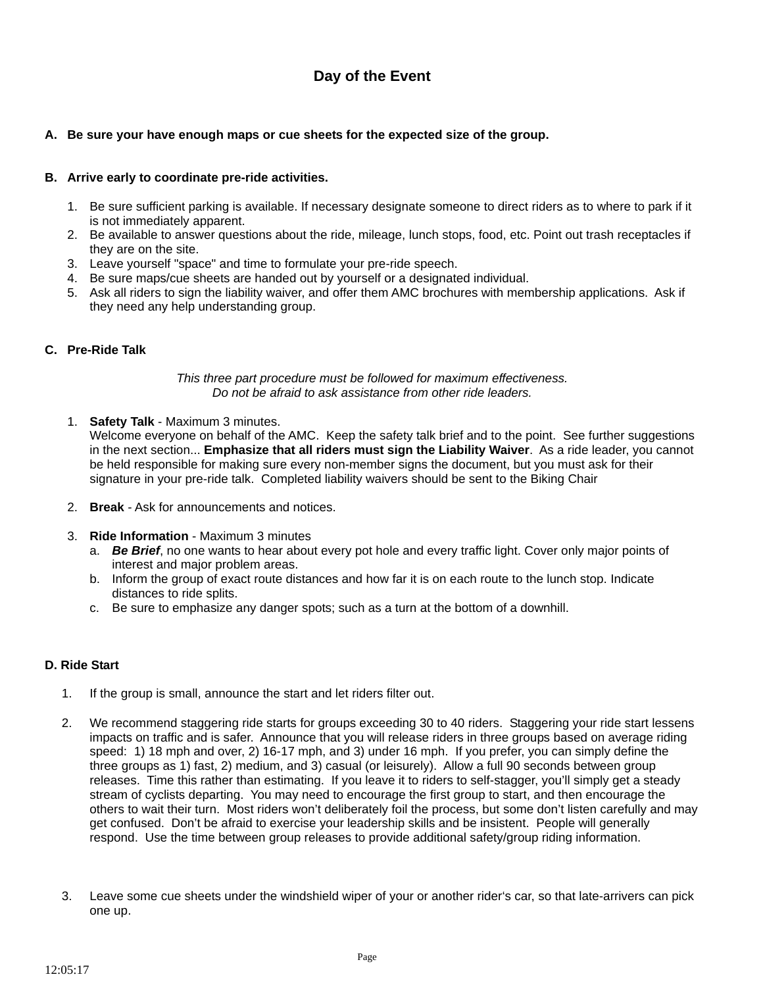# **Day of the Event**

## **A. Be sure your have enough maps or cue sheets for the expected size of the group.**

### **B. Arrive early to coordinate pre-ride activities.**

- 1. Be sure sufficient parking is available. If necessary designate someone to direct riders as to where to park if it is not immediately apparent.
- 2. Be available to answer questions about the ride, mileage, lunch stops, food, etc. Point out trash receptacles if they are on the site.
- 3. Leave yourself "space" and time to formulate your pre-ride speech.
- 4. Be sure maps/cue sheets are handed out by yourself or a designated individual.
- 5. Ask all riders to sign the liability waiver, and offer them AMC brochures with membership applications. Ask if they need any help understanding group.

#### **C. Pre-Ride Talk**

#### *This three part procedure must be followed for maximum effectiveness. Do not be afraid to ask assistance from other ride leaders.*

1. **Safety Talk** - Maximum 3 minutes.

Welcome everyone on behalf of the AMC. Keep the safety talk brief and to the point. See further suggestions in the next section... **Emphasize that all riders must sign the Liability Waiver**. As a ride leader, you cannot be held responsible for making sure every non-member signs the document, but you must ask for their signature in your pre-ride talk. Completed liability waivers should be sent to the Biking Chair

- 2. **Break** Ask for announcements and notices.
- 3. **Ride Information** Maximum 3 minutes
	- a. *Be Brief*, no one wants to hear about every pot hole and every traffic light. Cover only major points of interest and major problem areas.
	- b. Inform the group of exact route distances and how far it is on each route to the lunch stop. Indicate distances to ride splits.
	- c. Be sure to emphasize any danger spots; such as a turn at the bottom of a downhill.

## **D. Ride Start**

- 1. If the group is small, announce the start and let riders filter out.
- 2. We recommend staggering ride starts for groups exceeding 30 to 40 riders. Staggering your ride start lessens impacts on traffic and is safer. Announce that you will release riders in three groups based on average riding speed: 1) 18 mph and over, 2) 16-17 mph, and 3) under 16 mph. If you prefer, you can simply define the three groups as 1) fast, 2) medium, and 3) casual (or leisurely). Allow a full 90 seconds between group releases. Time this rather than estimating. If you leave it to riders to self-stagger, you'll simply get a steady stream of cyclists departing. You may need to encourage the first group to start, and then encourage the others to wait their turn. Most riders won't deliberately foil the process, but some don't listen carefully and may get confused. Don't be afraid to exercise your leadership skills and be insistent. People will generally respond. Use the time between group releases to provide additional safety/group riding information.
- 3. Leave some cue sheets under the windshield wiper of your or another rider's car, so that late-arrivers can pick one up.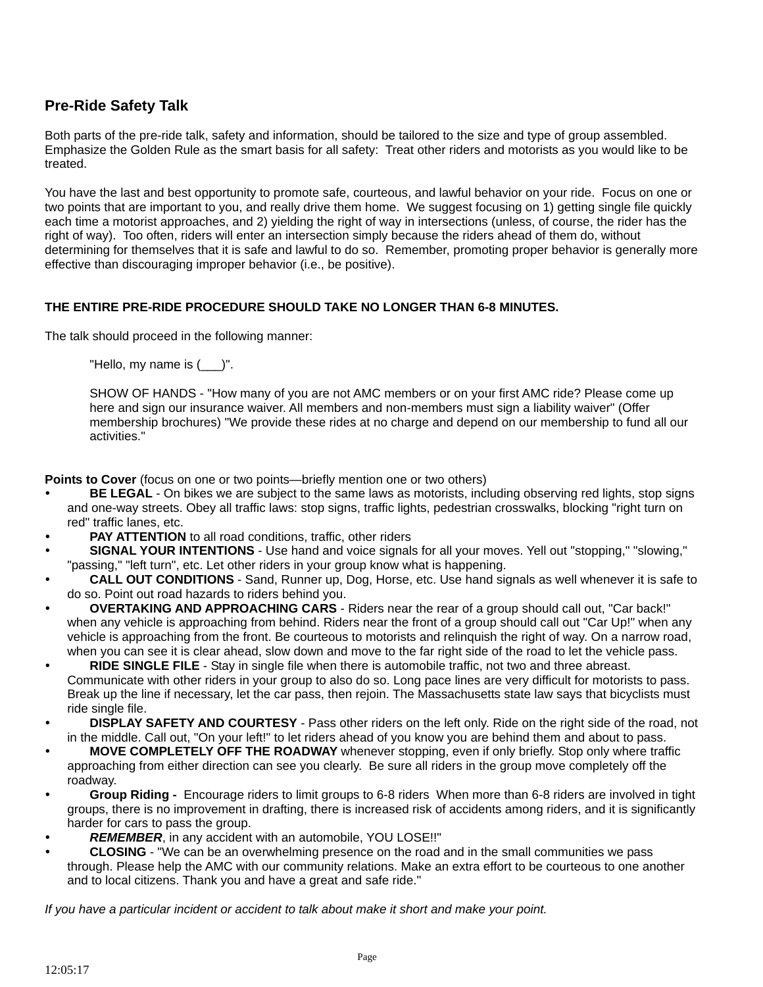# **Pre-Ride Safety Talk**

Both parts of the pre-ride talk, safety and information, should be tailored to the size and type of group assembled. Emphasize the Golden Rule as the smart basis for all safety: Treat other riders and motorists as you would like to be treated.

You have the last and best opportunity to promote safe, courteous, and lawful behavior on your ride. Focus on one or two points that are important to you, and really drive them home. We suggest focusing on 1) getting single file quickly each time a motorist approaches, and 2) yielding the right of way in intersections (unless, of course, the rider has the right of way). Too often, riders will enter an intersection simply because the riders ahead of them do, without determining for themselves that it is safe and lawful to do so. Remember, promoting proper behavior is generally more effective than discouraging improper behavior (i.e., be positive).

## **THE ENTIRE PRE-RIDE PROCEDURE SHOULD TAKE NO LONGER THAN 6-8 MINUTES.**

The talk should proceed in the following manner:

"Hello, my name is  $($   $)$ ".

SHOW OF HANDS - "How many of you are not AMC members or on your first AMC ride? Please come up here and sign our insurance waiver. All members and non-members must sign a liability waiver" (Offer membership brochures) "We provide these rides at no charge and depend on our membership to fund all our activities."

**Points to Cover** (focus on one or two points—briefly mention one or two others)

- **BE LEGAL** On bikes we are subject to the same laws as motorists, including observing red lights, stop signs and one-way streets. Obey all traffic laws: stop signs, traffic lights, pedestrian crosswalks, blocking "right turn on red" traffic lanes, etc.
- **PAY ATTENTION** to all road conditions, traffic, other riders
- **SIGNAL YOUR INTENTIONS** Use hand and voice signals for all your moves. Yell out "stopping," "slowing," "passing," "left turn", etc. Let other riders in your group know what is happening.
- CALL OUT CONDITIONS Sand, Runner up, Dog, Horse, etc. Use hand signals as well whenever it is safe to do so. Point out road hazards to riders behind you.
- y **OVERTAKING AND APPROACHING CARS** Riders near the rear of a group should call out, "Car back!" when any vehicle is approaching from behind. Riders near the front of a group should call out "Car Up!" when any vehicle is approaching from the front. Be courteous to motorists and relinquish the right of way. On a narrow road, when you can see it is clear ahead, slow down and move to the far right side of the road to let the vehicle pass.
- **RIDE SINGLE FILE** Stay in single file when there is automobile traffic, not two and three abreast. Communicate with other riders in your group to also do so. Long pace lines are very difficult for motorists to pass. Break up the line if necessary, let the car pass, then rejoin. The Massachusetts state law says that bicyclists must ride single file.
- **DISPLAY SAFETY AND COURTESY** Pass other riders on the left only. Ride on the right side of the road, not in the middle. Call out, "On your left!" to let riders ahead of you know you are behind them and about to pass.
- **MOVE COMPLETELY OFF THE ROADWAY** whenever stopping, even if only briefly. Stop only where traffic approaching from either direction can see you clearly. Be sure all riders in the group move completely off the roadway.
- Group Riding Encourage riders to limit groups to 6-8 riders When more than 6-8 riders are involved in tight groups, there is no improvement in drafting, there is increased risk of accidents among riders, and it is significantly harder for cars to pass the group.
- REMEMBER, in any accident with an automobile, YOU LOSE!!"
- **CLOSING** "We can be an overwhelming presence on the road and in the small communities we pass through. Please help the AMC with our community relations. Make an extra effort to be courteous to one another and to local citizens. Thank you and have a great and safe ride."

*If you have a particular incident or accident to talk about make it short and make your point.*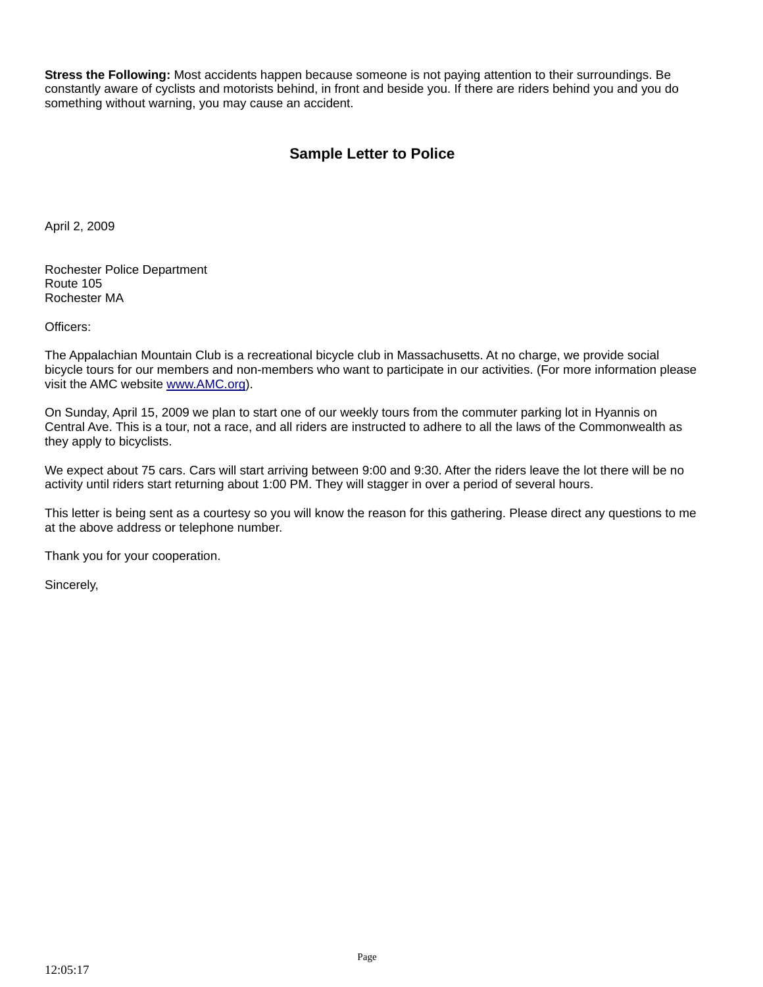**Stress the Following:** Most accidents happen because someone is not paying attention to their surroundings. Be constantly aware of cyclists and motorists behind, in front and beside you. If there are riders behind you and you do something without warning, you may cause an accident.

# **Sample Letter to Police**

April 2, 2009

Rochester Police Department Route 105 Rochester MA

Officers:

The Appalachian Mountain Club is a recreational bicycle club in Massachusetts. At no charge, we provide social bicycle tours for our members and non-members who want to participate in our activities. (For more information please visit the AMC website www.AMC.org).

On Sunday, April 15, 2009 we plan to start one of our weekly tours from the commuter parking lot in Hyannis on Central Ave. This is a tour, not a race, and all riders are instructed to adhere to all the laws of the Commonwealth as they apply to bicyclists.

We expect about 75 cars. Cars will start arriving between 9:00 and 9:30. After the riders leave the lot there will be no activity until riders start returning about 1:00 PM. They will stagger in over a period of several hours.

This letter is being sent as a courtesy so you will know the reason for this gathering. Please direct any questions to me at the above address or telephone number.

Thank you for your cooperation.

Sincerely,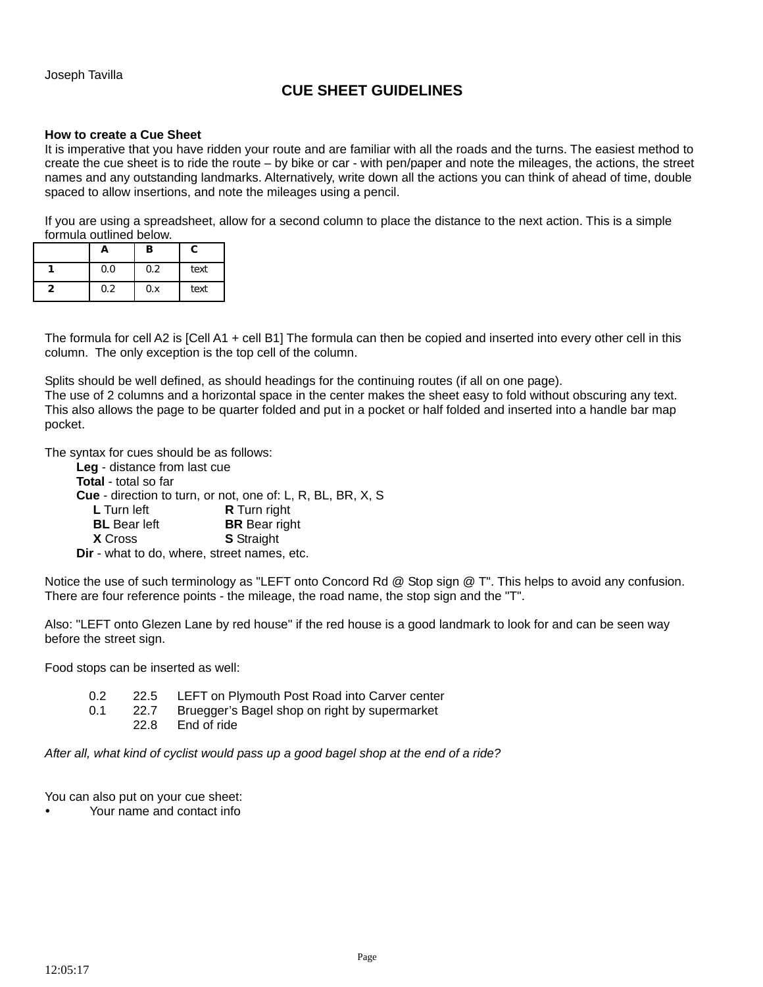# **CUE SHEET GUIDELINES**

#### **How to create a Cue Sheet**

It is imperative that you have ridden your route and are familiar with all the roads and the turns. The easiest method to create the cue sheet is to ride the route – by bike or car - with pen/paper and note the mileages, the actions, the street names and any outstanding landmarks. Alternatively, write down all the actions you can think of ahead of time, double spaced to allow insertions, and note the mileages using a pencil.

If you are using a spreadsheet, allow for a second column to place the distance to the next action. This is a simple formula outlined below.

| n   | в   | c    |
|-----|-----|------|
| 0.0 | 0.2 | text |
| 0.2 | 0.x | text |

The formula for cell A2 is [Cell A1 + cell B1] The formula can then be copied and inserted into every other cell in this column. The only exception is the top cell of the column.

Splits should be well defined, as should headings for the continuing routes (if all on one page).

The use of 2 columns and a horizontal space in the center makes the sheet easy to fold without obscuring any text. This also allows the page to be quarter folded and put in a pocket or half folded and inserted into a handle bar map pocket.

The syntax for cues should be as follows:

| Leg - distance from last cue                                       |
|--------------------------------------------------------------------|
|                                                                    |
| <b>Cue</b> - direction to turn, or not, one of: L, R, BL, BR, X, S |
| <b>R</b> Turn right                                                |
| <b>BR</b> Bear right                                               |
| <b>S</b> Straight                                                  |
| Dir - what to do, where, street names, etc.                        |
|                                                                    |

Notice the use of such terminology as "LEFT onto Concord Rd @ Stop sign @ T". This helps to avoid any confusion. There are four reference points - the mileage, the road name, the stop sign and the "T".

Also: "LEFT onto Glezen Lane by red house" if the red house is a good landmark to look for and can be seen way before the street sign.

Food stops can be inserted as well:

- 0.2 22.5 LEFT on Plymouth Post Road into Carver center
- 0.1 22.7 Bruegger's Bagel shop on right by supermarket
	- 22.8 End of ride

*After all, what kind of cyclist would pass up a good bagel shop at the end of a ride?*

You can also put on your cue sheet:

y Your name and contact info